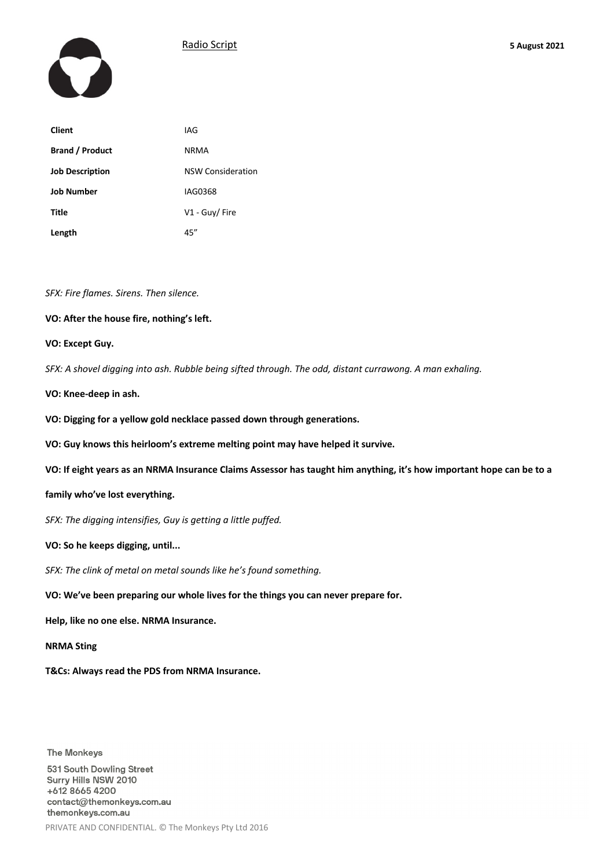



| <b>Client</b>          | IAG                      |
|------------------------|--------------------------|
| <b>Brand / Product</b> | <b>NRMA</b>              |
| <b>Job Description</b> | <b>NSW Consideration</b> |
| <b>Job Number</b>      | IAG0368                  |
| Title                  | V1 - Guy/ Fire           |
| Length                 | 45"                      |

### *SFX: Fire flames. Sirens. Then silence.*

## **VO: After the house fire, nothing's left.**

## **VO: Except Guy.**

*SFX: A shovel digging into ash. Rubble being sifted through. The odd, distant currawong. A man exhaling.*

**VO: Knee-deep in ash.**

**VO: Digging for a yellow gold necklace passed down through generations.**

**VO: Guy knows this heirloom's extreme melting point may have helped it survive.**

**VO: If eight years as an NRMA Insurance Claims Assessor has taught him anything, it's how important hope can be to a** 

### **family who've lost everything.**

*SFX: The digging intensifies, Guy is getting a little puffed.*

**VO: So he keeps digging, until...**

*SFX: The clink of metal on metal sounds like he's found something.*

**VO: We've been preparing our whole lives for the things you can never prepare for.**

**Help, like no one else. NRMA Insurance.** 

**NRMA Sting**

**T&Cs: Always read the PDS from NRMA Insurance.**

**The Monkeys** 

531 South Dowling Street Surry Hills NSW 2010 +612 8665 4200 contact@themonkeys.com.au themonkeys.com.au PRIVATE AND CONFIDENTIAL. © The Monkeys Pty Ltd 2016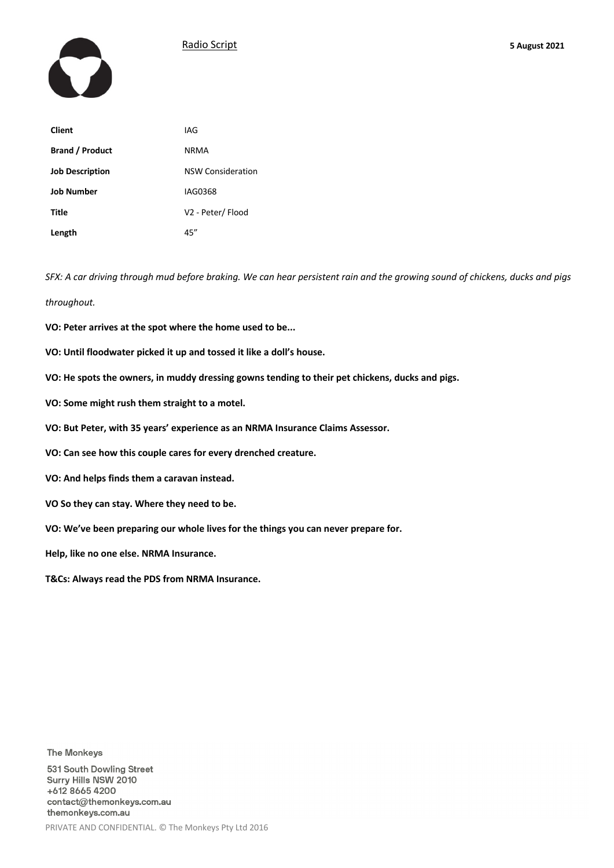



| <b>Client</b>          | IAG                      |
|------------------------|--------------------------|
| <b>Brand / Product</b> | <b>NRMA</b>              |
| <b>Job Description</b> | <b>NSW Consideration</b> |
| <b>Job Number</b>      | IAG0368                  |
| Title                  | V2 - Peter/ Flood        |
| Length                 | 45"                      |

*SFX: A car driving through mud before braking. We can hear persistent rain and the growing sound of chickens, ducks and pigs throughout.*

- **VO: Peter arrives at the spot where the home used to be...**
- **VO: Until floodwater picked it up and tossed it like a doll's house.**
- **VO: He spots the owners, in muddy dressing gowns tending to their pet chickens, ducks and pigs.**
- **VO: Some might rush them straight to a motel.**
- **VO: But Peter, with 35 years' experience as an NRMA Insurance Claims Assessor.**
- **VO: Can see how this couple cares for every drenched creature.**
- **VO: And helps finds them a caravan instead.**
- **VO So they can stay. Where they need to be.**
- **VO: We've been preparing our whole lives for the things you can never prepare for.**
- **Help, like no one else. NRMA Insurance.**

**T&Cs: Always read the PDS from NRMA Insurance.**

**The Monkeys** 

531 South Dowling Street Surry Hills NSW 2010 +612 8665 4200 contact@themonkeys.com.au themonkeys.com.au PRIVATE AND CONFIDENTIAL. © The Monkeys Pty Ltd 2016